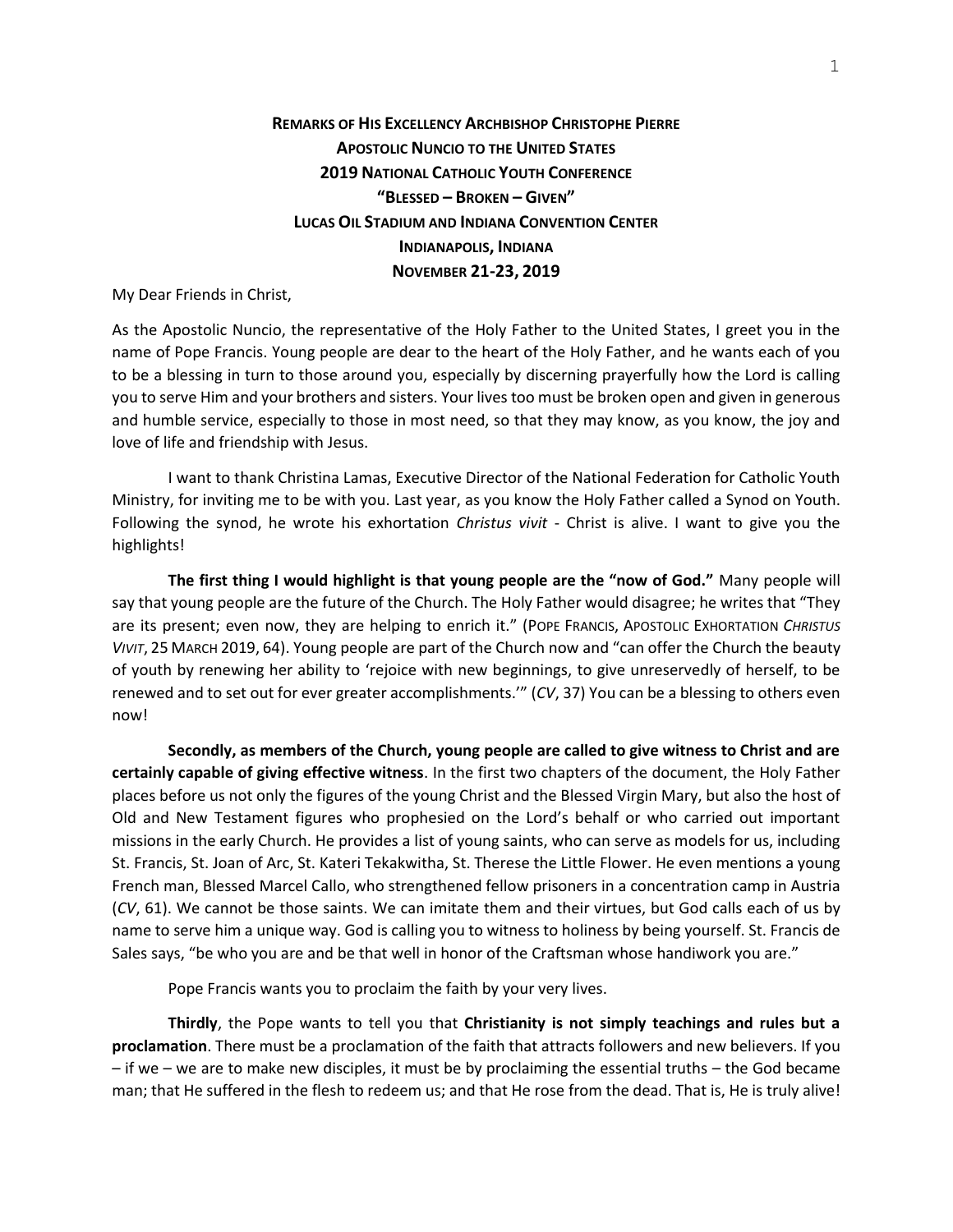## **REMARKS OF HIS EXCELLENCY ARCHBISHOP CHRISTOPHE PIERRE APOSTOLIC NUNCIO TO THE UNITED STATES 2019 NATIONAL CATHOLIC YOUTH CONFERENCE "BLESSED – BROKEN – GIVEN" LUCAS OIL STADIUM AND INDIANA CONVENTION CENTER INDIANAPOLIS, INDIANA NOVEMBER 21-23, 2019**

My Dear Friends in Christ,

As the Apostolic Nuncio, the representative of the Holy Father to the United States, I greet you in the name of Pope Francis. Young people are dear to the heart of the Holy Father, and he wants each of you to be a blessing in turn to those around you, especially by discerning prayerfully how the Lord is calling you to serve Him and your brothers and sisters. Your lives too must be broken open and given in generous and humble service, especially to those in most need, so that they may know, as you know, the joy and love of life and friendship with Jesus.

I want to thank Christina Lamas, Executive Director of the National Federation for Catholic Youth Ministry, for inviting me to be with you. Last year, as you know the Holy Father called a Synod on Youth. Following the synod, he wrote his exhortation *Christus vivit* - Christ is alive. I want to give you the highlights!

**The first thing I would highlight is that young people are the "now of God."** Many people will say that young people are the future of the Church. The Holy Father would disagree; he writes that "They are its present; even now, they are helping to enrich it." (POPE FRANCIS, APOSTOLIC EXHORTATION *CHRISTUS VIVIT*, 25 MARCH 2019, 64). Young people are part of the Church now and "can offer the Church the beauty of youth by renewing her ability to 'rejoice with new beginnings, to give unreservedly of herself, to be renewed and to set out for ever greater accomplishments.'" (*CV*, 37) You can be a blessing to others even now!

**Secondly, as members of the Church, young people are called to give witness to Christ and are certainly capable of giving effective witness**. In the first two chapters of the document, the Holy Father places before us not only the figures of the young Christ and the Blessed Virgin Mary, but also the host of Old and New Testament figures who prophesied on the Lord's behalf or who carried out important missions in the early Church. He provides a list of young saints, who can serve as models for us, including St. Francis, St. Joan of Arc, St. Kateri Tekakwitha, St. Therese the Little Flower. He even mentions a young French man, Blessed Marcel Callo, who strengthened fellow prisoners in a concentration camp in Austria (*CV*, 61). We cannot be those saints. We can imitate them and their virtues, but God calls each of us by name to serve him a unique way. God is calling you to witness to holiness by being yourself. St. Francis de Sales says, "be who you are and be that well in honor of the Craftsman whose handiwork you are."

Pope Francis wants you to proclaim the faith by your very lives.

**Thirdly**, the Pope wants to tell you that **Christianity is not simply teachings and rules but a proclamation**. There must be a proclamation of the faith that attracts followers and new believers. If you – if we – we are to make new disciples, it must be by proclaiming the essential truths – the God became man; that He suffered in the flesh to redeem us; and that He rose from the dead. That is, He is truly alive!